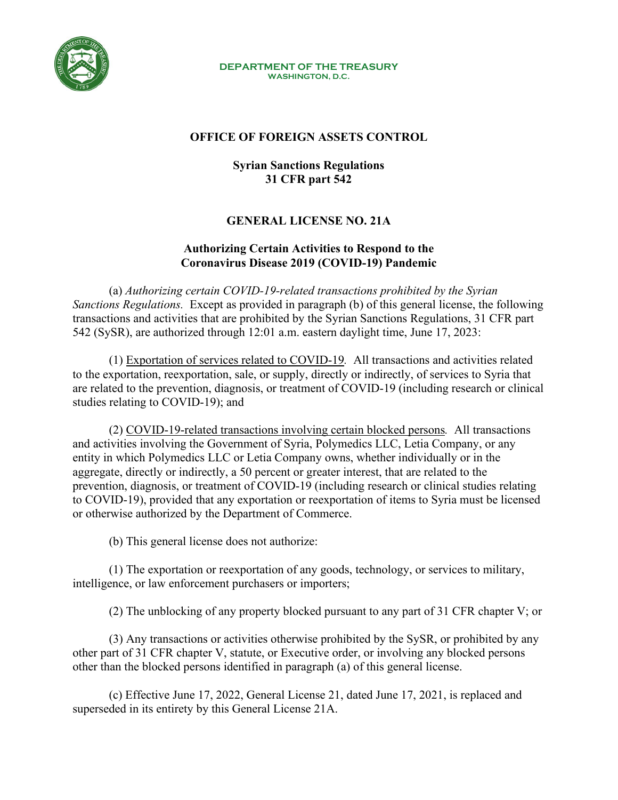

#### **DEPARTMENT OF THE TREASURY WASHINGTON, D.C.**

## **OFFICE OF FOREIGN ASSETS CONTROL**

## **Syrian Sanctions Regulations 31 CFR part 542**

# **GENERAL LICENSE NO. 21A**

#### **Authorizing Certain Activities to Respond to the Coronavirus Disease 2019 (COVID-19) Pandemic**

(a) *Authorizing certain COVID-19-related transactions prohibited by the Syrian Sanctions Regulations.* Except as provided in paragraph (b) of this general license, the following transactions and activities that are prohibited by the Syrian Sanctions Regulations, 31 CFR part 542 (SySR), are authorized through 12:01 a.m. eastern daylight time, June 17, 2023:

(1) Exportation of services related to COVID-19*.* All transactions and activities related to the exportation, reexportation, sale, or supply, directly or indirectly, of services to Syria that are related to the prevention, diagnosis, or treatment of COVID-19 (including research or clinical studies relating to COVID-19); and

(2) COVID-19-related transactions involving certain blocked persons*.* All transactions and activities involving the Government of Syria, Polymedics LLC, Letia Company, or any entity in which Polymedics LLC or Letia Company owns, whether individually or in the aggregate, directly or indirectly, a 50 percent or greater interest, that are related to the prevention, diagnosis, or treatment of COVID-19 (including research or clinical studies relating to COVID-19), provided that any exportation or reexportation of items to Syria must be licensed or otherwise authorized by the Department of Commerce.

(b) This general license does not authorize:

(1) The exportation or reexportation of any goods, technology, or services to military, intelligence, or law enforcement purchasers or importers;

(2) The unblocking of any property blocked pursuant to any part of 31 CFR chapter V; or

(3) Any transactions or activities otherwise prohibited by the SySR, or prohibited by any other part of 31 CFR chapter V, statute, or Executive order, or involving any blocked persons other than the blocked persons identified in paragraph (a) of this general license.

(c) Effective June 17, 2022, General License 21, dated June 17, 2021, is replaced and superseded in its entirety by this General License 21A.